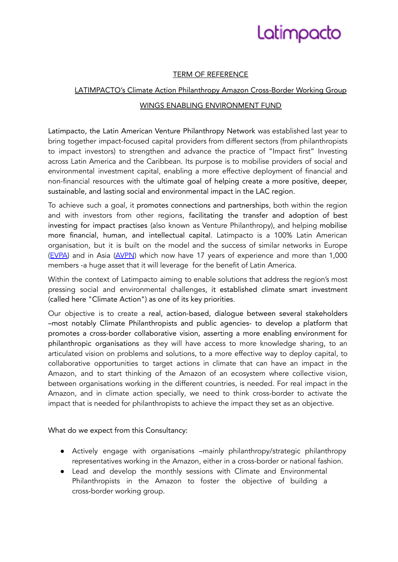# Latimpacto

## TERM OF REFERENCE

## LATIMPACTO's Climate Action Philanthropy Amazon Cross-Border Working Group

### WINGS ENABLING ENVIRONMENT FUND

Latimpacto, the Latin American Venture Philanthropy Network was established last year to bring together impact-focused capital providers from different sectors (from philanthropists to impact investors) to strengthen and advance the practice of "Impact first" Investing across Latin America and the Caribbean. Its purpose is to mobilise providers of social and environmental investment capital, enabling a more effective deployment of financial and non-financial resources with the ultimate goal of helping create a more positive, deeper, sustainable, and lasting social and environmental impact in the LAC region.

To achieve such a goal, it promotes connections and partnerships, both within the region and with investors from other regions, facilitating the transfer and adoption of best investing for impact practises (also known as Venture Philanthropy), and helping mobilise more financial, human, and intellectual capital. Latimpacto is a 100% Latin American organisation, but it is built on the model and the success of similar networks in Europe (EVPA) and in Asia (AVPN) which now have 17 years of experience and more than 1,000 members -a huge asset that it will leverage for the benefit of Latin America.

Within the context of Latimpacto aiming to enable solutions that address the region's most pressing social and environmental challenges, it established climate smart investment (called here "Climate Action") as one of its key priorities.

Our objective is to create a real, action-based, dialogue between several stakeholders –most notably Climate Philanthropists and public agencies- to develop a platform that promotes a cross-border collaborative vision, asserting a more enabling environment for philanthropic organisations as they will have access to more knowledge sharing, to an articulated vision on problems and solutions, to a more effective way to deploy capital, to collaborative opportunities to target actions in climate that can have an impact in the Amazon, and to start thinking of the Amazon of an ecosystem where collective vision, between organisations working in the different countries, is needed. For real impact in the Amazon, and in climate action specially, we need to think cross-border to activate the impact that is needed for philanthropists to achieve the impact they set as an objective.

What do we expect from this Consultancy:

- Actively engage with organisations –mainly philanthropy/strategic philanthropy representatives working in the Amazon, either in a cross-border or national fashion.
- Lead and develop the monthly sessions with Climate and Environmental Philanthropists in the Amazon to foster the objective of building a cross-border working group.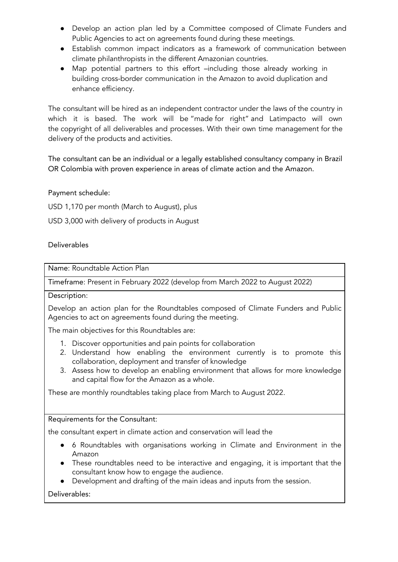- Develop an action plan led by a Committee composed of Climate Funders and Public Agencies to act on agreements found during these meetings.
- Establish common impact indicators as a framework of communication between climate philanthropists in the different Amazonian countries.
- Map potential partners to this effort –including those already working in building cross-border communication in the Amazon to avoid duplication and enhance efficiency.

The consultant will be hired as an independent contractor under the laws of the country in which it is based. The work will be "made for right" and Latimpacto will own the copyright of all deliverables and processes. With their own time management for the delivery of the products and activities.

The consultant can be an individual or a legally established consultancy company in Brazil OR Colombia with proven experience in areas of climate action and the Amazon.

Payment schedule:

USD 1,170 per month (March to August), plus

USD 3,000 with delivery of products in August

#### Deliverables

Name: Roundtable Action Plan

Timeframe: Present in February 2022 (develop from March 2022 to August 2022)

Description:

Develop an action plan for the Roundtables composed of Climate Funders and Public Agencies to act on agreements found during the meeting.

The main objectives for this Roundtables are:

- 1. Discover opportunities and pain points for collaboration
- 2. Understand how enabling the environment currently is to promote this collaboration, deployment and transfer of knowledge
- 3. Assess how to develop an enabling environment that allows for more knowledge and capital flow for the Amazon as a whole.

These are monthly roundtables taking place from March to August 2022.

Requirements for the Consultant:

the consultant expert in climate action and conservation will lead the

- 6 Roundtables with organisations working in Climate and Environment in the Amazon
- These roundtables need to be interactive and engaging, it is important that the consultant know how to engage the audience.
- Development and drafting of the main ideas and inputs from the session.

Deliverables: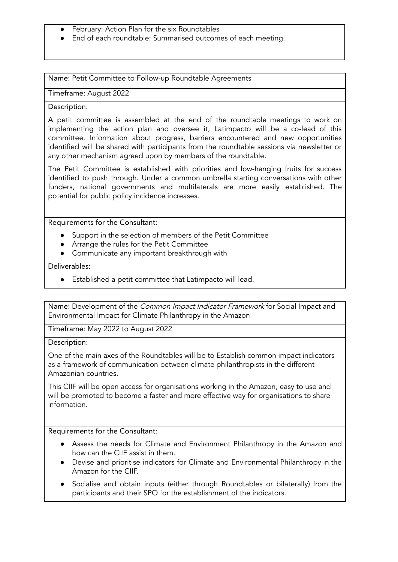- February: Action Plan for the six Roundtables
- End of each roundtable: Summarised outcomes of each meeting.

Name: Petit Committee to Follow-up Roundtable Agreements

Timeframe: August 2022

#### Description:

A petit committee is assembled at the end of the roundtable meetings to work on implementing the action plan and oversee it, Latimpacto will be a co-lead of this committee. Information about progress, barriers encountered and new opportunities identified will be shared with participants from the roundtable sessions via newsletter or any other mechanism agreed upon by members of the roundtable.

The Petit Committee is established with priorities and low-hanging fruits for success identified to push through. Under a common umbrella starting conversations with other funders, national governments and multilaterals are more easily established. The potential for public policy incidence increases.

Requirements for the Consultant:

- Support in the selection of members of the Petit Committee
- Arrange the rules for the Petit Committee
- Communicate any important breakthrough with

Deliverables:

● Established a petit committee that Latimpacto will lead.

Name: Development of the Common Impact Indicator Framework for Social Impact and Environmental Impact for Climate Philanthropy in the Amazon

Timeframe: May 2022 to August 2022

Description:

One of the main axes of the Roundtables will be to Establish common impact indicators as a framework of communication between climate philanthropists in the different Amazonian countries.

This CIIF will be open access for organisations working in the Amazon, easy to use and will be promoted to become a faster and more effective way for organisations to share information.

Requirements for the Consultant:

- Assess the needs for Climate and Environment Philanthropy in the Amazon and how can the CIIF assist in them.
- Devise and prioritise indicators for Climate and Environmental Philanthropy in the Amazon for the CIIF.
- Socialise and obtain inputs (either through Roundtables or bilaterally) from the participants and their SPO for the establishment of the indicators.